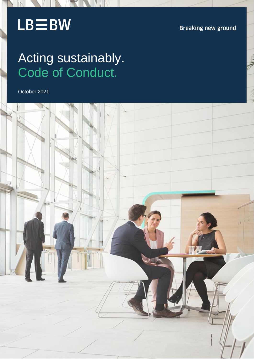# $LB \equiv BW$

**Breaking new ground** 

# Acting sustainably. Code of Conduct.

October 2021

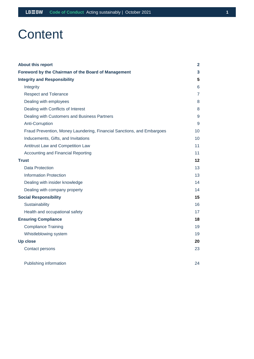## **Content**

| <b>About this report</b>                                               | 2  |
|------------------------------------------------------------------------|----|
| Foreword by the Chairman of the Board of Management                    | 3  |
| <b>Integrity and Responsibility</b>                                    | 5  |
| Integrity                                                              | 6  |
| <b>Respect and Tolerance</b>                                           | 7  |
| Dealing with employees                                                 | 8  |
| Dealing with Conflicts of Interest                                     | 8  |
| Dealing with Customers and Business Partners                           | 9  |
| Anti-Corruption                                                        | 9  |
| Fraud Prevention, Money Laundering, Financial Sanctions, and Embargoes | 10 |
| Inducements, Gifts, and Invitations                                    | 10 |
| Antitrust Law and Competition Law                                      | 11 |
| <b>Accounting and Financial Reporting</b>                              | 11 |
| <b>Trust</b>                                                           | 12 |
| <b>Data Protection</b>                                                 | 13 |
| <b>Information Protection</b>                                          | 13 |
| Dealing with insider knowledge                                         | 14 |
| Dealing with company property                                          | 14 |
| <b>Social Responsibility</b>                                           | 15 |
| Sustainability                                                         | 16 |
| Health and occupational safety                                         | 17 |
| <b>Ensuring Compliance</b>                                             | 18 |
| <b>Compliance Training</b>                                             | 19 |
| Whistleblowing system                                                  | 19 |
| <b>Up close</b>                                                        | 20 |
| Contact persons                                                        | 23 |
| Publishing information                                                 | 24 |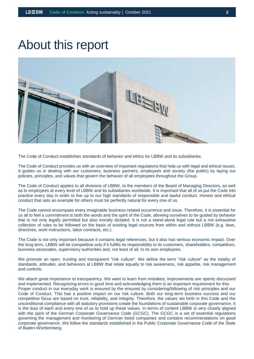### <span id="page-2-0"></span>About this report



The Code of Conduct establishes standards of behavior and ethics for LBBW and its subsidiaries.

The Code of Conduct provides us with an overview of important regulations that help us with legal and ethical issues. It guides us in dealing with our customers, business partners, employees and society (the public) by laying out policies, principles, and values that govern the behavior of all employees throughout the Group.

The Code of Conduct applies to all divisions of LBBW, to the members of the Board of Managing Directors, as well as to employees at every level of LBBW and its subsidiaries worldwide. It is important that all of us put the Code into practice every day in order to live up to our high standards of responsible and lawful conduct. Honest and ethical conduct that sets an example for others must be perfectly natural for every one of us.

The Code cannot encompass every imaginable business-related occurrence and issue. Therefore, it is essential for us all to feel a commitment to both the words and the spirit of the Code, allowing ourselves to be guided by behavior that is not only legally permitted but also morally dictated. It is not a stand-alone legal rule but a not exhaustive collection of rules to be followed on the basis of existing legal sources from within and without LBBW (e.g. laws, directives, work instructions, labor contracts, etc.).

The Code is not only important because it contains legal references, but it also has serious economic impact. Over the long term, LBBW will be competitive only if it fulfills its responsibility to its customers, shareholders, competitors, business associates, supervisory authorities and, not least of all, to its own employees.

We promote an open, trusting and transparent "risk culture". We define the term "risk culture" as the totality of standards, attitudes, and behaviors at LBBW that relate equally to risk awareness, risk appetite, risk management and controls.

We attach great importance to transparency. We want to learn from mistakes; improvements are openly discussed and implemented. Recognizing errors in good time and acknowledging them is an important requirement for this. Proper conduct in our everyday work is ensured by the ensured by considering/following of risk principles and our Code of Conduct. This has a positive impact on our risk culture. Both our long-term business success and our competitive focus are based on trust, reliability, and integrity. Therefore, the values set forth in this Code and the unconditional compliance with all statutory provisions create the foundations of sustainable corporate governance. It is the duty of each and every one of us to hold up these values. In terms of content LBBW is very closely aligned with the spirit of the German Corporate Governance Code (GCGC). The GCGC is a set of essential regulations governing the management and monitoring of German listed companies and contains recommendations on good corporate governance. We follow the standards established in the Public Corporate Governance Code of the State of Baden-Württemberg.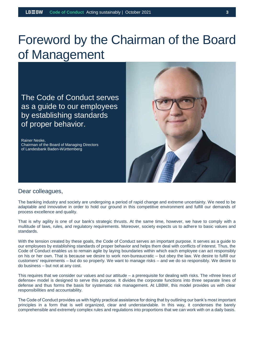## <span id="page-3-0"></span>Foreword by the Chairman of the Board of Management

The Code of Conduct serves as a guide to our employees by establishing standards of proper behavior.

Rainer Neske, Chairman of the Board of Managing Directors of Landesbank Baden-Württemberg



#### Dear colleagues,

The banking industry and society are undergoing a period of rapid change and extreme uncertainty. We need to be adaptable and innovative in order to hold our ground in this competitive environment and fulfill our demands of process excellence and quality.

That is why agility is one of our bank's strategic thrusts. At the same time, however, we have to comply with a multitude of laws, rules, and regulatory requirements. Moreover, society expects us to adhere to basic values and standards.

With the tension created by these goals, the Code of Conduct serves an important purpose. It serves as a guide to our employees by establishing standards of proper behavior and helps them deal with conflicts of interest. Thus, the Code of Conduct enables us to remain agile by laying boundaries within which each employee can act responsibly on his or her own. That is because we desire to work non-bureaucratic – but obey the law. We desire to fulfill our customers' requirements – but do so properly. We want to manage risks – and we do so responsibly. We desire to do business – but not at any cost.

This requires that we consider our values and our attitude – a prerequisite for dealing with risks. The »three lines of defense« model is designed to serve this purpose. It divides the corporate functions into three separate lines of defense and thus forms the basis for systematic risk management. At LBBW, this model provides us with clear responsibilities and accountability.

The Code of Conduct provides us with highly practical assistance for doing that by outlining our bank's most important principles in a form that is well organized, clear and understandable. In this way, it condenses the barely comprehensible and extremely complex rules and regulations into proportions that we can work with on a daily basis.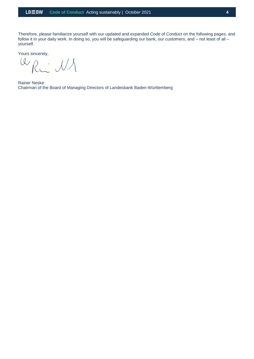Therefore, please familiarize yourself with our updated and expanded Code of Conduct on the following pages, and follow it in your daily work. In doing so, you will be safeguarding our bank, our customers, and – not least of all – yourself.

Yours sincerely,

WRW NA

Rainer Neske Chairman of the Board of Managing Directors of Landesbank Baden-Württemberg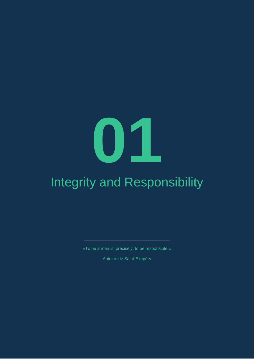# **01**

# <span id="page-5-0"></span>Integrity and Responsibility

»To be a man is, precisely, to be responsible.«

\_\_\_\_\_\_\_\_\_\_\_\_\_\_\_\_\_\_\_\_\_\_\_\_\_\_\_\_\_\_\_\_\_\_\_\_\_\_\_\_

Antoine de Saint-Exupéry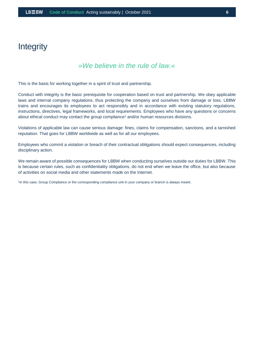#### <span id="page-6-0"></span>**Integrity**

#### *»We believe in the rule of law.«*

This is the basis for working together in a spirit of trust and partnership.

Conduct with integrity is the basic prerequisite for cooperation based on trust and partnership. We obey applicable laws and internal company regulations, thus protecting the company and ourselves from damage or loss. LBBW trains and encourages its employees to act responsibly and in accordance with existing statutory regulations, instructions, directives, legal frameworks, and local requirements. Employees who have any questions or concerns about ethical conduct may contact the group compliance<sup>1</sup> and/or human resources divisions.

Violations of applicable law can cause serious damage: fines, claims for compensation, sanctions, and a tarnished reputation. That goes for LBBW worldwide as well as for all our employees.

Employees who commit a violation or breach of their contractual obligations should expect consequences, including disciplinary action.

We remain aware of possible consequences for LBBW when conducting ourselves outside our duties for LBBW. This is because certain rules, such as confidentiality obligations, do not end when we leave the office, but also because of activities on social media and other statements made on the Internet.

1 In this case, Group Compliance or the corresponding compliance unit in your company or branch is always meant.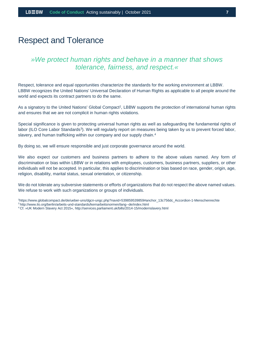#### <span id="page-7-0"></span>Respect and Tolerance

#### *»We protect human rights and behave in a manner that shows tolerance, fairness, and respect.«*

Respect, tolerance and equal opportunities characterize the standards for the working environment at LBBW. LBBW recognizes the United Nations' Universal Declaration of Human Rights as applicable to all people around the world and expects its contract partners to do the same.

As a signatory to the United Nations' Global Compact<sup>2</sup>, LBBW supports the protection of international human rights and ensures that we are not complicit in human rights violations.

Special significance is given to protecting universal human rights as well as safeguarding the fundamental rights of labor (ILO Core Labor Standards<sup>3</sup>). We will regularly report on measures being taken by us to prevent forced labor, slavery, and human trafficking within our company and our supply chain.<sup>4</sup>

By doing so, we will ensure responsible and just corporate governance around the world.

We also expect our customers and business partners to adhere to the above values named. Any form of discrimination or bias within LBBW or in relations with employees, customers, business partners, suppliers, or other individuals will not be accepted. In particular, this applies to discrimination or bias based on race, gender, origin, age, religion, disability, marital status, sexual orientation, or citizenship.

We do not tolerate any subversive statements or efforts of organizations that do not respect the above named values. We refuse to work with such organizations or groups of individuals.

- <sup>2</sup>https://www.globalcompact.de/de/ueber-uns/dgcn-ungc.php?navid=539859539859#anchor\_13c756dc\_Accordion-1-Menschenrechte
- <sup>3</sup>http://www.ilo.org/berlin/arbeits-und-standards/kernarbeitsnormen/lang--de/index.html
- 4 Cf. »UK Modern Slavery Act 2015«, http://services.parliament.uk/bills/2014-15/modernslavery.html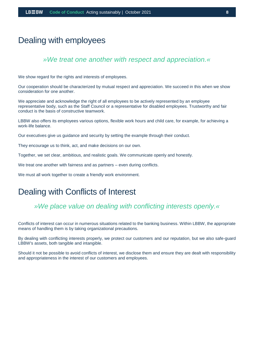#### <span id="page-8-0"></span>Dealing with employees

#### *»We treat one another with respect and appreciation.«*

We show regard for the rights and interests of employees.

Our cooperation should be characterized by mutual respect and appreciation. We succeed in this when we show consideration for one another.

We appreciate and acknowledge the right of all employees to be actively represented by an employee representative body, such as the Staff Council or a representative for disabled employees. Trustworthy and fair conduct is the basis of constructive teamwork.

LBBW also offers its employees various options, flexible work hours and child care, for example, for achieving a work-life balance.

Our executives give us guidance and security by setting the example through their conduct.

They encourage us to think, act, and make decisions on our own.

Together, we set clear, ambitious, and realistic goals. We communicate openly and honestly.

We treat one another with fairness and as partners – even during conflicts.

We must all work together to create a friendly work environment.

#### <span id="page-8-1"></span>Dealing with Conflicts of Interest

#### *»We place value on dealing with conflicting interests openly.«*

Conflicts of interest can occur in numerous situations related to the banking business. Within LBBW, the appropriate means of handling them is by taking organizational precautions.

By dealing with conflicting interests properly, we protect our customers and our reputation, but we also safe-guard LBBW's assets, both tangible and intangible.

Should it not be possible to avoid conflicts of interest, we disclose them and ensure they are dealt with responsibility and appropriateness in the interest of our customers and employees.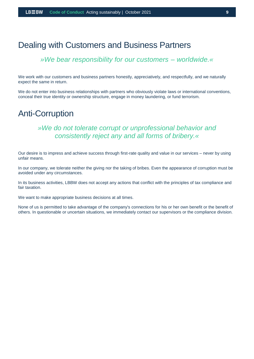#### <span id="page-9-0"></span>Dealing with Customers and Business Partners

#### *»We bear responsibility for our customers – worldwide.«*

We work with our customers and business partners honestly, appreciatively, and respectfully, and we naturally expect the same in return.

We do not enter into business relationships with partners who obviously violate laws or international conventions, conceal their true identity or ownership structure, engage in money laundering, or fund terrorism.

#### <span id="page-9-1"></span>Anti-Corruption

#### *»We do not tolerate corrupt or unprofessional behavior and consistently reject any and all forms of bribery.«*

Our desire is to impress and achieve success through first-rate quality and value in our services – never by using unfair means.

In our company, we tolerate neither the giving nor the taking of bribes. Even the appearance of corruption must be avoided under any circumstances.

In its business activities, LBBW does not accept any actions that conflict with the principles of tax compliance and fair taxation.

We want to make appropriate business decisions at all times.

None of us is permitted to take advantage of the company's connections for his or her own benefit or the benefit of others. In questionable or uncertain situations, we immediately contact our supervisors or the compliance division.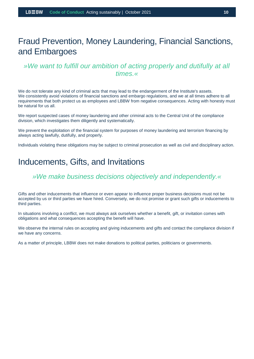#### <span id="page-10-0"></span>Fraud Prevention, Money Laundering, Financial Sanctions, and Embargoes

#### *»We want to fulfill our ambition of acting properly and dutifully at all times.«*

We do not tolerate any kind of criminal acts that may lead to the endangerment of the Institute's assets. We consistently avoid violations of financial sanctions and embargo regulations, and we at all times adhere to all requirements that both protect us as employees and LBBW from negative consequences. Acting with honesty must be natural for us all.

We report suspected cases of money laundering and other criminal acts to the Central Unit of the compliance division, which investigates them diligently and systematically.

We prevent the exploitation of the financial system for purposes of money laundering and terrorism financing by always acting lawfully, dutifully, and properly.

Individuals violating these obligations may be subject to criminal prosecution as well as civil and disciplinary action.

#### <span id="page-10-1"></span>Inducements, Gifts, and Invitations

#### *»We make business decisions objectively and independently.«*

Gifts and other inducements that influence or even appear to influence proper business decisions must not be accepted by us or third parties we have hired. Conversely, we do not promise or grant such gifts or inducements to third parties.

In situations involving a conflict, we must always ask ourselves whether a benefit, gift, or invitation comes with obligations and what consequences accepting the benefit will have.

We observe the internal rules on accepting and giving inducements and gifts and contact the compliance division if we have any concerns.

As a matter of principle, LBBW does not make donations to political parties, politicians or governments.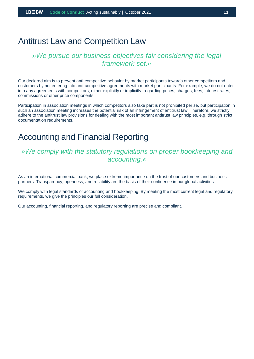#### <span id="page-11-0"></span>Antitrust Law and Competition Law

#### *»We pursue our business objectives fair considering the legal framework set.«*

Our declared aim is to prevent anti-competitive behavior by market participants towards other competitors and customers by not entering into anti-competitive agreements with market participants. For example, we do not enter into any agreements with competitors, either explicitly or implicitly, regarding prices, charges, fees, interest rates, commissions or other price components.

Participation in association meetings in which competitors also take part is not prohibited per se, but participation in such an association meeting increases the potential risk of an infringement of antitrust law. Therefore, we strictly adhere to the antitrust law provisions for dealing with the most important antitrust law principles, e.g. through strict documentation requirements.

#### <span id="page-11-1"></span>Accounting and Financial Reporting

#### *»We comply with the statutory regulations on proper bookkeeping and accounting.«*

As an international commercial bank, we place extreme importance on the trust of our customers and business partners. Transparency, openness, and reliability are the basis of their confidence in our global activities.

We comply with legal standards of accounting and bookkeeping. By meeting the most current legal and regulatory requirements, we give the principles our full consideration.

Our accounting, financial reporting, and regulatory reporting are precise and compliant.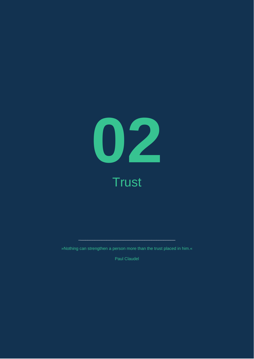

<span id="page-12-0"></span>»Nothing can strengthen a person more than the trust placed in him.«

 $\sim$  0.000  $\sim$  0.000  $\sim$  0.000  $\sim$  0.000  $\sim$  0.000  $\sim$  0.000  $\sim$  0.000  $\sim$  0.000  $\sim$  0.000  $\sim$  0.000  $\sim$  0.000  $\sim$  0.000  $\sim$  0.000  $\sim$  0.000  $\sim$  0.000  $\sim$  0.000  $\sim$  0.000  $\sim$  0.000  $\sim$  0.000  $\sim$  0.000

Paul Claudel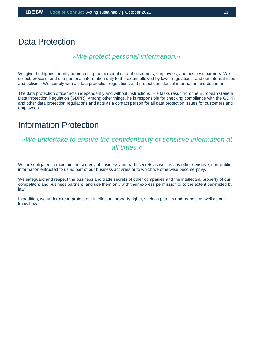#### <span id="page-13-0"></span>Data Protection

#### *»We protect personal information.«*

We give the highest priority to protecting the personal data of customers, employees, and business partners. We collect, process, and use personal information only to the extent allowed by laws, regulations, and our internal rules and policies. We comply with all data protection regulations and protect confidential information and documents.

The data protection officer acts independently and without instructions. His tasks result from the European General Data Protection Regulation (GDPR). Among other things, he is responsible for checking compliance with the GDPR and other data protection regulations and acts as a contact person for all data protection issues for customers and employees.

#### <span id="page-13-1"></span>Information Protection

#### *»We undertake to ensure the confidentiality of sensitive information at all times.«*

We are obligated to maintain the secrecy of business and trade secrets as well as any other sensitive, non-public information entrusted to us as part of our business activities or to which we otherwise become privy.

We safeguard and respect the business and trade secrets of other companies and the intellectual property of our competitors and business partners, and use them only with their express permission or to the extent per-mitted by law.

In addition, we undertake to protect our intellectual property rights, such as patents and brands, as well as our know how.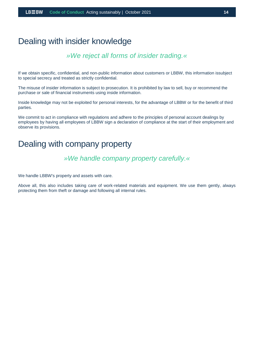#### <span id="page-14-0"></span>Dealing with insider knowledge

#### *»We reject all forms of insider trading.«*

If we obtain specific, confidential, and non-public information about customers or LBBW, this information issubject to special secrecy and treated as strictly confidential.

The misuse of insider information is subject to prosecution. It is prohibited by law to sell, buy or recommend the purchase or sale of financial instruments using inside information.

Inside knowledge may not be exploited for personal interests, for the advantage of LBBW or for the benefit of third parties.

We commit to act in compliance with regulations and adhere to the principles of personal account dealings by employees by having all employees of LBBW sign a declaration of compliance at the start of their employment and observe its provisions.

#### <span id="page-14-1"></span>Dealing with company property

#### *»We handle company property carefully.«*

We handle LBBW's property and assets with care.

Above all, this also includes taking care of work-related materials and equipment. We use them gently, always protecting them from theft or damage and following all internal rules.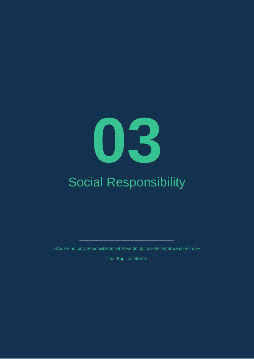# <span id="page-15-0"></span>**03** Social Responsibility

»We are not only responsible for what we do, but also for what we do not do.«

\_\_\_\_\_\_\_\_\_\_\_\_\_\_\_\_\_\_\_\_\_\_\_\_\_\_\_\_\_\_\_\_\_\_\_\_\_\_\_\_

Jean Baptiste Molière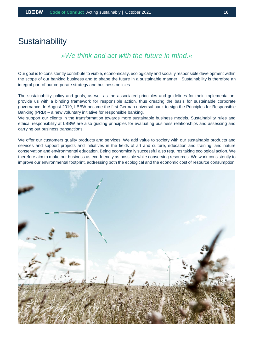#### <span id="page-16-0"></span>**Sustainability**

#### *»We think and act with the future in mind.«*

Our goal is to consistently contribute to viable, economically, ecologically and socially responsible development within the scope of our banking business and to shape the future in a sustainable manner. Sustainability is therefore an integral part of our corporate strategy and business policies.

The sustainability policy and goals, as well as the associated principles and guidelines for their implementation, provide us with a binding framework for responsible action, thus creating the basis for sustainable corporate governance. In August 2019, LBBW became the first German universal bank to sign the Principles for Responsible Banking (PRB) – a new voluntary initiative for responsible banking.

We support our clients in the transformation towards more sustainable business models. Sustainability rules and ethical responsibility at LBBW are also guiding principles for evaluating business relationships and assessing and carrying out business transactions.

We offer our customers quality products and services. We add value to society with our sustainable products and services and support projects and initiatives in the fields of art and culture, education and training, and nature conservation and environmental education. Being economically successful also requires taking ecological action. We therefore aim to make our business as eco-friendly as possible while conserving resources. We work consistently to improve our environmental footprint, addressing both the ecological and the economic cost of resource consumption.

<span id="page-16-1"></span>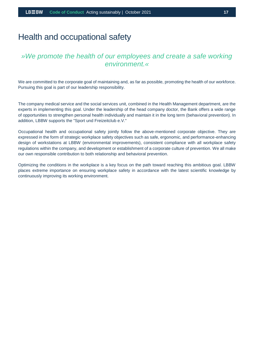#### Health and occupational safety

#### *»We promote the health of our employees and create a safe working environment.«*

We are committed to the corporate goal of maintaining and, as far as possible, promoting the health of our workforce. Pursuing this goal is part of our leadership responsibility.

The company medical service and the social services unit, combined in the Health Management department, are the experts in implementing this goal. Under the leadership of the head company doctor, the Bank offers a wide range of opportunities to strengthen personal health individually and maintain it in the long term (behavioral prevention). In addition, LBBW supports the "Sport und Freizeitclub e.V."

Occupational health and occupational safety jointly follow the above-mentioned corporate objective. They are expressed in the form of strategic workplace safety objectives such as safe, ergonomic, and performance-enhancing design of workstations at LBBW (environmental improvements), consistent compliance with all workplace safety regulations within the company, and development or establishment of a corporate culture of prevention. We all make our own responsible contribution to both relationship and behavioral prevention.

Optimizing the conditions in the workplace is a key focus on the path toward reaching this ambitious goal. LBBW places extreme importance on ensuring workplace safety in accordance with the latest scientific knowledge by continuously improving its working environment.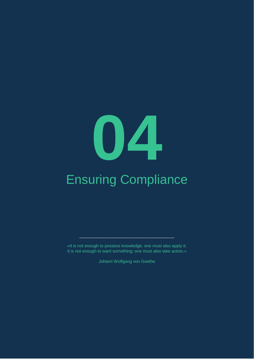# **04**

# <span id="page-18-0"></span>Ensuring Compliance

»It is not enough to possess knowledge; one must also apply it. It is not enough to want something; one must also take action.«

\_\_\_\_\_\_\_\_\_\_\_\_\_\_\_\_\_\_\_\_\_\_\_\_\_\_\_\_\_\_\_\_\_\_\_\_\_\_\_\_

Johann Wolfgang von Goethe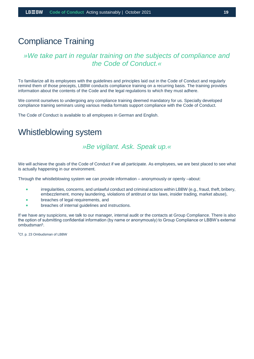#### <span id="page-19-0"></span>Compliance Training

#### *»We take part in regular training on the subjects of compliance and the Code of Conduct.«*

To familiarize all its employees with the guidelines and principles laid out in the Code of Conduct and regularly remind them of those precepts, LBBW conducts compliance training on a recurring basis. The training provides information about the contents of the Code and the legal regulations to which they must adhere.

We commit ourselves to undergoing any compliance training deemed mandatory for us. Specially developed compliance training seminars using various media formats support compliance with the Code of Conduct.

The Code of Conduct is available to all employees in German and English.

#### <span id="page-19-1"></span>Whistleblowing system

#### *»Be vigilant. Ask. Speak up.«*

We will achieve the goals of the Code of Conduct if we all participate. As employees, we are best placed to see what is actually happening in our environment.

Through the whistleblowing system we can provide information – anonymously or openly –about:

- irregularities, concerns, and unlawful conduct and criminal actions within LBBW (e.g., fraud, theft, bribery, embezzlement, money laundering, violations of antitrust or tax laws, insider trading, market abuse),
- breaches of legal requirements, and
- breaches of internal guidelines and instructions.

If we have any suspicions, we talk to our manager, internal audit or the contacts at Group Compliance. There is also the option of submitting confidential information (by name or anonymously) to Group Compliance or LBBW's external ombudsman<sup>5</sup> .

<sup>5</sup>Cf. p. 23 Ombudsman of LBBW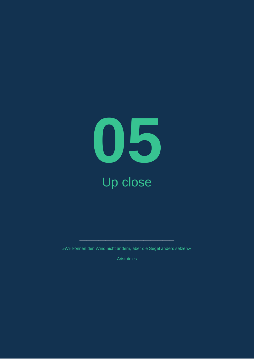

<span id="page-20-0"></span>»Wir können den Wind nicht ändern, aber die Segel anders setzen.«

\_\_\_\_\_\_\_\_\_\_\_\_\_\_\_\_\_\_\_\_\_\_\_\_\_\_\_\_\_\_\_\_\_\_\_\_\_\_\_\_

Aristoteles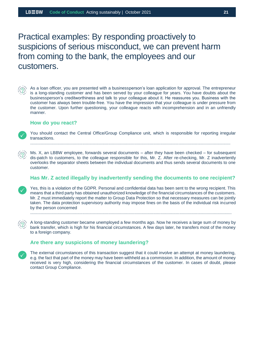Practical examples: By responding proactively to suspicions of serious misconduct, we can prevent harm from coming to the bank, the employees and our customers.



As a loan officer, you are presented with a businessperson's loan application for approval. The entrepreneur is a long-standing customer and has been served by your colleague for years. You have doubts about the businessperson's creditworthiness and talk to your colleague about it. He reassures you. Business with the customer has always been trouble-free. You have the impression that your colleague is under pressure from the customer. Upon further questioning, your colleague reacts with incomprehension and in an unfriendly manner.

#### **How do you react?**



You should contact the Central Office/Group Compliance unit, which is responsible for reporting irregular transactions.

.........................................................................................................................................................................

Ms. X, an LBBW employee, forwards several documents – after they have been checked – for subsequent dis-patch to customers, to the colleague responsible for this, Mr. Z. After re-checking, Mr. Z inadvertently overlooks the separator sheets between the individual documents and thus sends several documents to one customer.

#### **Has Mr. Z acted illegally by inadvertently sending the documents to one recipient?**

Yes, this is a violation of the GDPR. Personal and confidential data has been sent to the wrong recipient. This means that a third party has obtained unauthorized knowledge of the financial circumstances of the customers. Mr. Z must immediately report the matter to Group Data Protection so that necessary measures can be jointly taken. The data protection supervisory authority may impose fines on the basis of the individual risk incurred by the person concerned

..........................................................................................................................................................................

A long-standing customer became unemployed a few months ago. Now he receives a large sum of money by bank transfer, which is high for his financial circumstances. A few days later, he transfers most of the money to a foreign company.

#### **Are there any suspicions of money laundering?**

The external circumstances of this transaction suggest that it could involve an attempt at money laundering, e.g. the fact that part of the money may have been withheld as a commission. In addition, the amount of money received is very high, considering the financial circumstances of the customer. In cases of doubt, please contact Group Compliance.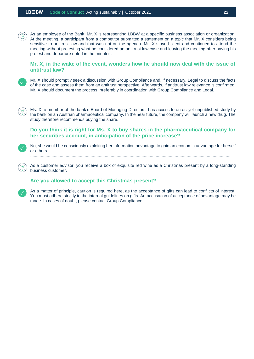As an employee of the Bank, Mr. X is representing LBBW at a specific business association or organization. At the meeting, a participant from a competitor submitted a statement on a topic that Mr. X considers being sensitive to antitrust law and that was not on the agenda. Mr. X stayed silent and continued to attend the meeting without protesting what he considered an antitrust law case and leaving the meeting after having his protest and departure noted in the minutes.

#### **Mr. X, in the wake of the event, wonders how he should now deal with the issue of antitrust law?**

Mr. X should promptly seek a discussion with Group Compliance and, if necessary, Legal to discuss the facts of the case and assess them from an antitrust perspective. Afterwards, if antitrust law relevance is confirmed, Mr. X should document the process, preferably in coordination with Group Compliance and Legal.

.........................................................................................................................................................................

Ms. X, a member of the bank's Board of Managing Directors, has access to an as-yet unpublished study by the bank on an Austrian pharmaceutical company. In the near future, the company will launch a new drug. The study therefore recommends buying the share.

**Do you think it is right for Ms. X to buy shares in the pharmaceutical company for her securities account, in anticipation of the price increase?**

No, she would be consciously exploiting her information advantage to gain an economic advantage for herself or others.

.........................................................................................................................................................................

As a customer advisor, you receive a box of exquisite red wine as a Christmas present by a long-standing business customer.

#### **Are you allowed to accept this Christmas present?**

As a matter of principle, caution is required here, as the acceptance of gifts can lead to conflicts of interest. You must adhere strictly to the internal guidelines on gifts. An accusation of acceptance of advantage may be made. In cases of doubt, please contact Group Compliance.

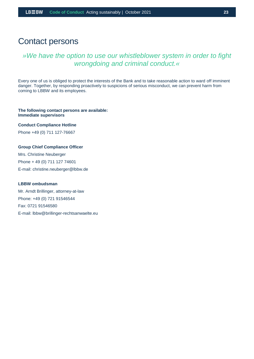#### <span id="page-23-0"></span>Contact persons

#### *»We have the option to use our whistleblower system in order to fight wrongdoing and criminal conduct.«*

Every one of us is obliged to protect the interests of the Bank and to take reasonable action to ward off imminent danger. Together, by responding proactively to suspicions of serious misconduct, we can prevent harm from coming to LBBW and its employees.

#### **The following contact persons are available: Immediate supervisors**

**Conduct Compliance Hotline**

Phone +49 (0) 711 127-76667

#### **Group Chief Compliance Officer**

Mrs. Christine Neuberger Phone + 49 (0) 711 127 74601 E-mail: christine.neuberger@lbbw.de

#### **LBBW ombudsman**

Mr. Arndt Brillinger, attorney-at-law Phone: +49 (0) 721 91546544 Fax: 0721 91546580 E-mail: lbbw@brillinger-rechtsanwaelte.eu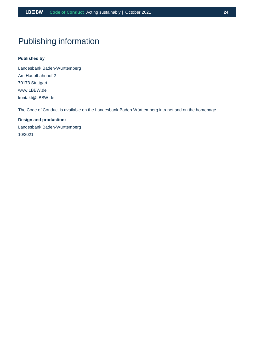#### <span id="page-24-0"></span>Publishing information

#### **Published by**

Landesbank Baden-Württemberg Am Hauptbahnhof 2 70173 Stuttgart www.LBBW.de kontakt@LBBW.de

The Code of Conduct is available on the Landesbank Baden-Württemberg intranet and on the homepage.

**Design and production:** Landesbank Baden-Württemberg 10/2021